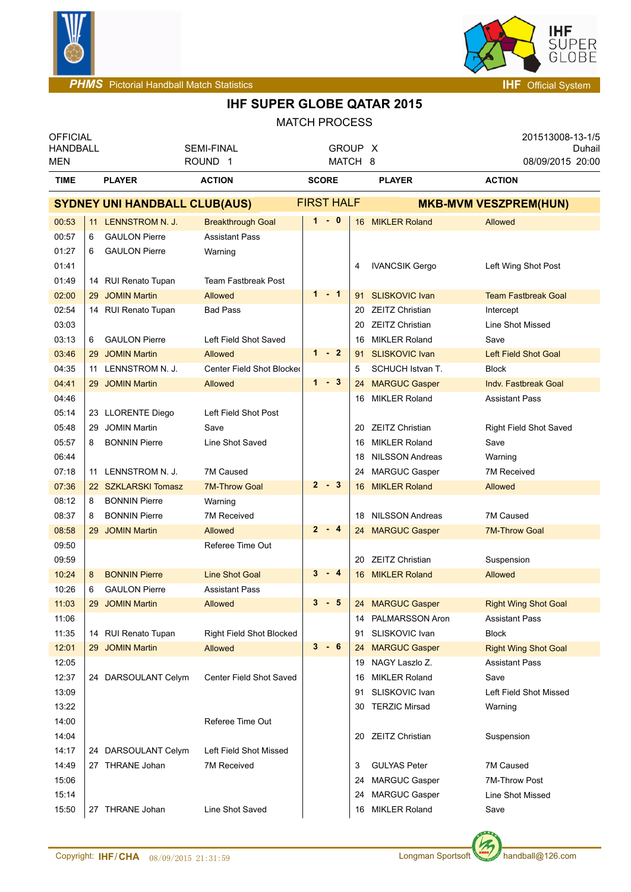



| <b>OFFICIAL</b><br><b>HANDBALL</b> |    |                                      | <b>SEMI-FINAL</b>               |   |                   | GROUP X |                        | 201513008-13-1/5<br>Duhail     |
|------------------------------------|----|--------------------------------------|---------------------------------|---|-------------------|---------|------------------------|--------------------------------|
| <b>MEN</b>                         |    |                                      | ROUND <sub>1</sub>              |   |                   | MATCH 8 |                        | 08/09/2015 20:00               |
| <b>TIME</b>                        |    | <b>PLAYER</b>                        | <b>ACTION</b>                   |   | <b>SCORE</b>      |         | <b>PLAYER</b>          | <b>ACTION</b>                  |
|                                    |    | <b>SYDNEY UNI HANDBALL CLUB(AUS)</b> |                                 |   | <b>FIRST HALF</b> |         |                        | <b>MKB-MVM VESZPREM(HUN)</b>   |
| 00:53                              |    | 11 LENNSTROM N. J.                   | <b>Breakthrough Goal</b>        |   | $1 - 0$           |         | 16 MIKLER Roland       | Allowed                        |
| 00:57                              | 6  | <b>GAULON Pierre</b>                 | <b>Assistant Pass</b>           |   |                   |         |                        |                                |
| 01:27                              | 6  | <b>GAULON Pierre</b>                 | Warning                         |   |                   |         |                        |                                |
| 01:41                              |    |                                      |                                 |   |                   | 4       | <b>IVANCSIK Gergo</b>  | Left Wing Shot Post            |
| 01:49                              |    | 14 RUI Renato Tupan                  | <b>Team Fastbreak Post</b>      |   |                   |         |                        |                                |
| 02:00                              |    | 29 JOMIN Martin                      | <b>Allowed</b>                  |   | $1 - 1$           | 91      | <b>SLISKOVIC Ivan</b>  | <b>Team Fastbreak Goal</b>     |
| 02:54                              |    | 14 RUI Renato Tupan                  | <b>Bad Pass</b>                 |   |                   |         | 20 ZEITZ Christian     | Intercept                      |
| 03:03                              |    |                                      |                                 |   |                   | 20      | <b>ZEITZ Christian</b> | Line Shot Missed               |
| 03:13                              | 6  | <b>GAULON Pierre</b>                 | Left Field Shot Saved           |   |                   | 16      | <b>MIKLER Roland</b>   | Save                           |
| 03:46                              |    | 29 JOMIN Martin                      | Allowed                         |   | $1 - 2$           | 91      | <b>SLISKOVIC Ivan</b>  | <b>Left Field Shot Goal</b>    |
| 04:35                              | 11 | LENNSTROM N. J.                      | Center Field Shot Blocked       |   |                   | 5       | SCHUCH Istvan T.       | <b>Block</b>                   |
| 04:41                              |    | 29 JOMIN Martin                      | Allowed                         |   | $1 - 3$           |         | 24 MARGUC Gasper       | <b>Indy. Fastbreak Goal</b>    |
| 04:46                              |    |                                      |                                 |   |                   |         | 16 MIKLER Roland       | <b>Assistant Pass</b>          |
| 05:14                              |    | 23 LLORENTE Diego                    | Left Field Shot Post            |   |                   |         |                        |                                |
| 05:48                              |    | 29 JOMIN Martin                      | Save                            |   |                   |         | 20 ZEITZ Christian     | <b>Right Field Shot Saved</b>  |
| 05:57                              | 8  | <b>BONNIN Pierre</b>                 | Line Shot Saved                 |   |                   | 16      | <b>MIKLER Roland</b>   | Save                           |
| 06:44                              |    |                                      |                                 |   |                   | 18      | NILSSON Andreas        | Warning                        |
| 07:18                              |    | 11 LENNSTROM N. J.                   | 7M Caused                       |   |                   |         | 24 MARGUC Gasper       | 7M Received                    |
| 07:36                              |    | 22 SZKLARSKI Tomasz                  | <b>7M-Throw Goal</b>            |   | $2 - 3$           |         | 16 MIKLER Roland       | <b>Allowed</b>                 |
| 08:12                              | 8  | <b>BONNIN Pierre</b>                 | Warning                         |   |                   |         |                        |                                |
| 08:37                              | 8  | <b>BONNIN Pierre</b>                 | 7M Received                     |   |                   |         | 18 NILSSON Andreas     | 7M Caused                      |
| 08:58                              |    | 29 JOMIN Martin                      | Allowed                         |   | $2 - 4$           |         | 24 MARGUC Gasper       | <b>7M-Throw Goal</b>           |
| 09:50                              |    |                                      | Referee Time Out                |   |                   |         |                        |                                |
| 09:59                              |    |                                      |                                 |   |                   |         | 20 ZEITZ Christian     | Suspension                     |
| 10:24                              | 8  | <b>BONNIN Pierre</b>                 | <b>Line Shot Goal</b>           |   | $3 - 4$           |         | 16 MIKLER Roland       | Allowed                        |
| 10:26                              | 6  | <b>GAULON Pierre</b>                 | <b>Assistant Pass</b>           |   |                   |         |                        |                                |
| 11:03                              |    | 29 JOMIN Martin                      | Allowed                         | 3 | - 5               |         | 24 MARGUC Gasper       | <b>Right Wing Shot Goal</b>    |
| 11:06                              |    |                                      |                                 |   |                   |         | 14 PALMARSSON Aron     | <b>Assistant Pass</b>          |
| 11:35                              |    | 14 RUI Renato Tupan                  | <b>Right Field Shot Blocked</b> |   | $3 - 6$           | 91      | SLISKOVIC Ivan         | <b>Block</b>                   |
| 12:01                              |    | 29 JOMIN Martin                      | Allowed                         |   |                   |         | 24 MARGUC Gasper       | <b>Right Wing Shot Goal</b>    |
| 12:05                              |    |                                      |                                 |   |                   |         | 19 NAGY Laszlo Z.      | <b>Assistant Pass</b>          |
| 12:37                              |    | 24 DARSOULANT Celym                  | Center Field Shot Saved         |   |                   |         | 16 MIKLER Roland       | Save<br>Left Field Shot Missed |
| 13:09                              |    |                                      |                                 |   |                   |         | 91 SLISKOVIC Ivan      |                                |
| 13:22<br>14:00                     |    |                                      | Referee Time Out                |   |                   |         | 30 TERZIC Mirsad       | Warning                        |
| 14:04                              |    |                                      |                                 |   |                   |         | 20 ZEITZ Christian     | Suspension                     |
| 14:17                              |    | 24 DARSOULANT Celym                  | Left Field Shot Missed          |   |                   |         |                        |                                |
| 14:49                              |    | 27 THRANE Johan                      | 7M Received                     |   |                   | 3       | <b>GULYAS Peter</b>    | 7M Caused                      |
| 15:06                              |    |                                      |                                 |   |                   | 24      | <b>MARGUC Gasper</b>   | 7M-Throw Post                  |
| 15:14                              |    |                                      |                                 |   |                   |         | 24 MARGUC Gasper       | Line Shot Missed               |
| 15:50                              |    | 27 THRANE Johan                      | Line Shot Saved                 |   |                   |         | 16 MIKLER Roland       | Save                           |
|                                    |    |                                      |                                 |   |                   |         |                        |                                |

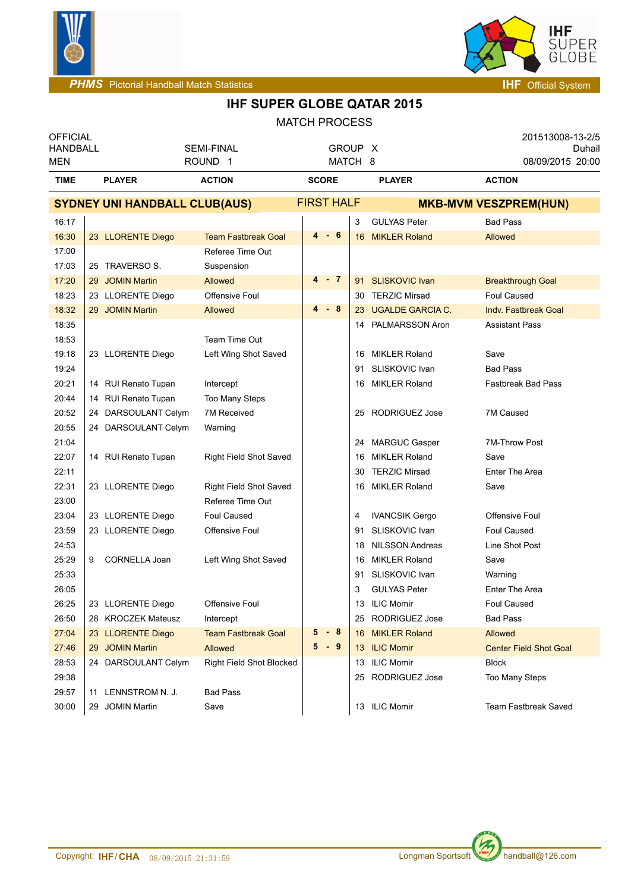



| <b>OFFICIAL</b><br><b>HANDBALL</b><br>MEN |                                      | <b>SEMI-FINAL</b><br>ROUND <sub>1</sub> |                   | GROUP X<br>MATCH 8 |                              | 201513008-13-2/5<br>Duhail<br>08/09/2015 20:00 |  |
|-------------------------------------------|--------------------------------------|-----------------------------------------|-------------------|--------------------|------------------------------|------------------------------------------------|--|
| <b>TIME</b>                               | <b>PLAYER</b>                        | <b>ACTION</b>                           | <b>SCORE</b>      |                    | <b>PLAYER</b>                | <b>ACTION</b>                                  |  |
|                                           | <b>SYDNEY UNI HANDBALL CLUB(AUS)</b> |                                         | <b>FIRST HALF</b> |                    | <b>MKB-MVM VESZPREM(HUN)</b> |                                                |  |
| 16:17                                     |                                      |                                         |                   | 3                  | <b>GULYAS Peter</b>          | <b>Bad Pass</b>                                |  |
| 16:30                                     | 23 LLORENTE Diego                    | <b>Team Fastbreak Goal</b>              | $4 - 6$           | 16                 | <b>MIKLER Roland</b>         | <b>Allowed</b>                                 |  |
| 17:00                                     |                                      | Referee Time Out                        |                   |                    |                              |                                                |  |
| 17:03                                     | 25 TRAVERSO S.                       | Suspension                              |                   |                    |                              |                                                |  |
| 17:20                                     | 29 JOMIN Martin                      | Allowed                                 | $4 - 7$           |                    | 91 SLISKOVIC Ivan            | <b>Breakthrough Goal</b>                       |  |
| 18:23                                     | 23 LLORENTE Diego                    | <b>Offensive Foul</b>                   |                   | 30                 | <b>TERZIC Mirsad</b>         | <b>Foul Caused</b>                             |  |
| 18:32                                     | 29 JOMIN Martin                      | Allowed                                 | $4 - 8$           |                    | 23 UGALDE GARCIA C.          | <b>Indv. Fastbreak Goal</b>                    |  |
| 18:35                                     |                                      |                                         |                   |                    | 14 PALMARSSON Aron           | <b>Assistant Pass</b>                          |  |
| 18:53                                     |                                      | Team Time Out                           |                   |                    |                              |                                                |  |
| 19:18                                     | 23 LLORENTE Diego                    | Left Wing Shot Saved                    |                   | 16                 | <b>MIKLER Roland</b>         | Save                                           |  |
| 19:24                                     |                                      |                                         |                   | 91                 | SLISKOVIC Ivan               | <b>Bad Pass</b>                                |  |
| 20:21                                     | 14 RUI Renato Tupan                  | Intercept                               |                   | 16                 | <b>MIKLER Roland</b>         | <b>Fastbreak Bad Pass</b>                      |  |
| 20:44                                     | 14 RUI Renato Tupan                  | Too Many Steps                          |                   |                    |                              |                                                |  |
| 20:52                                     | 24 DARSOULANT Celym                  | 7M Received                             |                   | 25                 | <b>RODRIGUEZ Jose</b>        | 7M Caused                                      |  |
| 20:55                                     | 24 DARSOULANT Celym                  | Warning                                 |                   |                    |                              |                                                |  |
| 21:04                                     |                                      |                                         |                   | 24                 | MARGUC Gasper                | <b>7M-Throw Post</b>                           |  |
| 22:07                                     | 14 RUI Renato Tupan                  | <b>Right Field Shot Saved</b>           |                   | 16                 | <b>MIKLER Roland</b>         | Save                                           |  |
| 22:11                                     |                                      |                                         |                   | 30                 | <b>TERZIC Mirsad</b>         | Enter The Area                                 |  |
| 22:31                                     | 23 LLORENTE Diego                    | Right Field Shot Saved                  |                   | 16                 | <b>MIKLER Roland</b>         | Save                                           |  |
| 23:00                                     |                                      | Referee Time Out                        |                   |                    |                              |                                                |  |
| 23:04                                     | 23 LLORENTE Diego                    | <b>Foul Caused</b>                      |                   | 4                  | <b>IVANCSIK Gergo</b>        | Offensive Foul                                 |  |
| 23:59                                     | 23 LLORENTE Diego                    | Offensive Foul                          |                   | 91                 | SLISKOVIC Ivan               | Foul Caused                                    |  |
| 24:53                                     |                                      |                                         |                   | 18                 | <b>NILSSON Andreas</b>       | Line Shot Post                                 |  |
| 25:29                                     | 9 CORNELLA Joan                      | Left Wing Shot Saved                    |                   | 16                 | <b>MIKLER Roland</b>         | Save                                           |  |
| 25:33                                     |                                      |                                         |                   | 91                 | SLISKOVIC Ivan               | Warning                                        |  |
| 26:05                                     |                                      |                                         |                   | 3                  | <b>GULYAS Peter</b>          | <b>Enter The Area</b>                          |  |
| 26:25                                     | 23 LLORENTE Diego                    | Offensive Foul                          |                   |                    | 13 ILIC Momir                | Foul Caused                                    |  |
| 26:50                                     | 28 KROCZEK Mateusz                   | Intercept                               |                   |                    | 25 RODRIGUEZ Jose            | <b>Bad Pass</b>                                |  |
| 27:04                                     | 23 LLORENTE Diego                    | <b>Team Fastbreak Goal</b>              | 5<br>- 8          | 16                 | <b>MIKLER Roland</b>         | Allowed                                        |  |
| 27:46                                     | 29 JOMIN Martin                      | Allowed                                 | $5 - 9$           |                    | 13 ILIC Momir                | <b>Center Field Shot Goal</b>                  |  |
| 28:53                                     | 24 DARSOULANT Celym                  | Right Field Shot Blocked                |                   |                    | 13 ILIC Momir                | <b>Block</b>                                   |  |
| 29:38                                     |                                      |                                         |                   |                    | 25 RODRIGUEZ Jose            | Too Many Steps                                 |  |
| 29:57                                     | 11 LENNSTROM N. J.                   | <b>Bad Pass</b>                         |                   |                    |                              |                                                |  |
| 30:00                                     | 29 JOMIN Martin                      | Save                                    |                   |                    | 13 ILIC Momir                | Team Fastbreak Saved                           |  |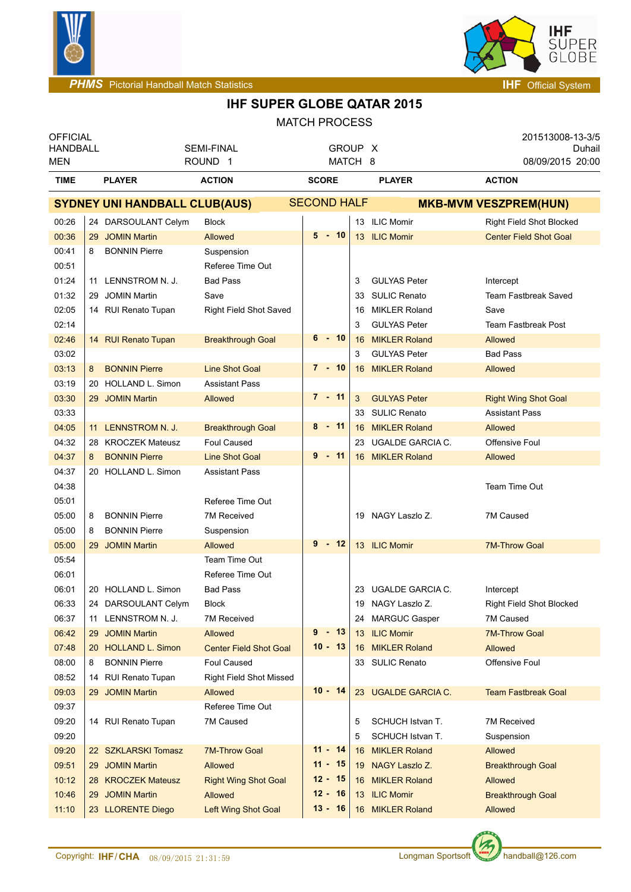



| <b>OFFICIAL</b><br><b>HANDBALL</b> |    |                                      | <b>SEMI-FINAL</b>              |                    | GROUP X                |     |                         | 201513008-13-3/5<br>Duhail    |
|------------------------------------|----|--------------------------------------|--------------------------------|--------------------|------------------------|-----|-------------------------|-------------------------------|
| <b>MEN</b>                         |    |                                      | ROUND <sub>1</sub>             |                    | MATCH 8                |     |                         | 08/09/2015 20:00              |
| <b>TIME</b>                        |    | <b>PLAYER</b>                        | <b>ACTION</b>                  | <b>SCORE</b>       |                        |     | <b>PLAYER</b>           | <b>ACTION</b>                 |
|                                    |    | <b>SYDNEY UNI HANDBALL CLUB(AUS)</b> |                                | <b>SECOND HALF</b> |                        |     |                         | <b>MKB-MVM VESZPREM(HUN)</b>  |
| 00:26                              |    | 24 DARSOULANT Celym                  | Block                          |                    |                        |     | 13 ILIC Momir           | Right Field Shot Blocked      |
| 00:36                              |    | 29 JOMIN Martin                      | Allowed                        |                    | $5 - 10$               |     | 13 ILIC Momir           | <b>Center Field Shot Goal</b> |
| 00:41                              | 8  | <b>BONNIN Pierre</b>                 | Suspension                     |                    |                        |     |                         |                               |
| 00:51                              |    |                                      | Referee Time Out               |                    |                        |     |                         |                               |
| 01:24                              |    | 11 LENNSTROM N. J.                   | <b>Bad Pass</b>                |                    |                        | 3   | <b>GULYAS Peter</b>     | Intercept                     |
| 01:32                              | 29 | <b>JOMIN Martin</b>                  | Save                           |                    |                        | 33  | <b>SULIC Renato</b>     | <b>Team Fastbreak Saved</b>   |
| 02:05                              |    | 14 RUI Renato Tupan                  | <b>Right Field Shot Saved</b>  |                    |                        | 16  | <b>MIKLER Roland</b>    | Save                          |
| 02:14                              |    |                                      |                                |                    |                        | 3   | <b>GULYAS Peter</b>     | <b>Team Fastbreak Post</b>    |
| 02:46                              |    | 14 RUI Renato Tupan                  | <b>Breakthrough Goal</b>       |                    | $6 - 10$               | 16  | <b>MIKLER Roland</b>    | Allowed                       |
| 03:02                              |    |                                      |                                |                    |                        | 3   | <b>GULYAS Peter</b>     | <b>Bad Pass</b>               |
| 03:13                              | 8  | <b>BONNIN Pierre</b>                 | <b>Line Shot Goal</b>          |                    | $7 - 10$               |     | 16 MIKLER Roland        | <b>Allowed</b>                |
| 03:19                              |    | 20 HOLLAND L. Simon                  | <b>Assistant Pass</b>          |                    |                        |     |                         |                               |
| 03:30                              |    | 29 JOMIN Martin                      | Allowed                        |                    | $7 - 11$               | 3   | <b>GULYAS Peter</b>     | <b>Right Wing Shot Goal</b>   |
| 03:33                              |    |                                      |                                |                    |                        | 33  | <b>SULIC Renato</b>     | <b>Assistant Pass</b>         |
| 04:05                              |    | 11 LENNSTROM N. J.                   | <b>Breakthrough Goal</b>       |                    | $8 - 11$               |     | 16 MIKLER Roland        | <b>Allowed</b>                |
| 04:32                              |    | 28 KROCZEK Mateusz                   | <b>Foul Caused</b>             |                    |                        | 23. | <b>UGALDE GARCIA C.</b> | Offensive Foul                |
| 04:37                              | 8  | <b>BONNIN Pierre</b>                 | <b>Line Shot Goal</b>          |                    | $9 - 11$               |     | 16 MIKLER Roland        | <b>Allowed</b>                |
| 04:37                              |    | 20 HOLLAND L. Simon                  | <b>Assistant Pass</b>          |                    |                        |     |                         |                               |
| 04:38                              |    |                                      |                                |                    |                        |     |                         | Team Time Out                 |
| 05:01                              |    |                                      | Referee Time Out               |                    |                        |     |                         |                               |
| 05:00                              | 8  | <b>BONNIN Pierre</b>                 | <b>7M Received</b>             |                    |                        |     | 19 NAGY Laszlo Z.       | 7M Caused                     |
| 05:00                              | 8  | <b>BONNIN Pierre</b>                 | Suspension                     |                    |                        |     |                         |                               |
| 05:00                              |    | 29 JOMIN Martin                      | <b>Allowed</b>                 |                    | $9 - 12$               |     | 13 ILIC Momir           | <b>7M-Throw Goal</b>          |
| 05:54                              |    |                                      | Team Time Out                  |                    |                        |     |                         |                               |
| 06:01                              |    |                                      | Referee Time Out               |                    |                        |     |                         |                               |
| 06:01                              |    | 20 HOLLAND L. Simon                  | <b>Bad Pass</b>                |                    |                        |     | 23 UGALDE GARCIA C.     | Intercept                     |
| 06:33                              |    | 24 DARSOULANT Celym                  | <b>Block</b>                   |                    |                        |     | 19 NAGY Laszlo Z.       | Right Field Shot Blocked      |
| 06:37                              |    | 11 LENNSTROM N. J.                   | <b>7M Received</b>             |                    |                        |     | 24 MARGUC Gasper        | 7M Caused                     |
| 06:42                              | 29 | <b>JOMIN Martin</b>                  | Allowed                        |                    | $9 - 13$               | 13  | <b>ILIC Momir</b>       | <b>7M-Throw Goal</b>          |
| 07:48                              |    | 20 HOLLAND L. Simon                  | <b>Center Field Shot Goal</b>  |                    | $10 - 13$              |     | 16 MIKLER Roland        | Allowed                       |
| 08:00                              | 8  | <b>BONNIN Pierre</b>                 | <b>Foul Caused</b>             |                    |                        |     | 33 SULIC Renato         | Offensive Foul                |
| 08:52                              |    | 14 RUI Renato Tupan                  | <b>Right Field Shot Missed</b> |                    |                        |     |                         |                               |
| 09:03                              |    | 29 JOMIN Martin                      | Allowed                        |                    | $10 - 14$              |     | 23 UGALDE GARCIA C.     | <b>Team Fastbreak Goal</b>    |
| 09:37                              |    |                                      | Referee Time Out               |                    |                        |     |                         |                               |
| 09:20                              |    | 14 RUI Renato Tupan                  | 7M Caused                      |                    |                        | 5   | SCHUCH Istvan T.        | <b>7M Received</b>            |
| 09:20                              |    |                                      |                                |                    |                        | 5   | SCHUCH Istvan T.        | Suspension                    |
| 09:20                              |    | 22 SZKLARSKI Tomasz                  | <b>7M-Throw Goal</b>           |                    | $11 - 14$              | 16  | <b>MIKLER Roland</b>    | Allowed                       |
| 09:51                              | 29 | <b>JOMIN Martin</b>                  | Allowed                        |                    | $11 - 15$              |     | 19 NAGY Laszlo Z.       | <b>Breakthrough Goal</b>      |
| 10:12                              |    | 28 KROCZEK Mateusz                   | <b>Right Wing Shot Goal</b>    |                    | $12 - 15$              |     | 16 MIKLER Roland        | Allowed                       |
| 10:46                              | 29 | <b>JOMIN Martin</b>                  | Allowed                        |                    | $12 - 16$<br>$13 - 16$ |     | 13 ILIC Momir           | <b>Breakthrough Goal</b>      |
| 11:10                              |    | 23 LLORENTE Diego                    | Left Wing Shot Goal            |                    |                        |     | 16 MIKLER Roland        | Allowed                       |

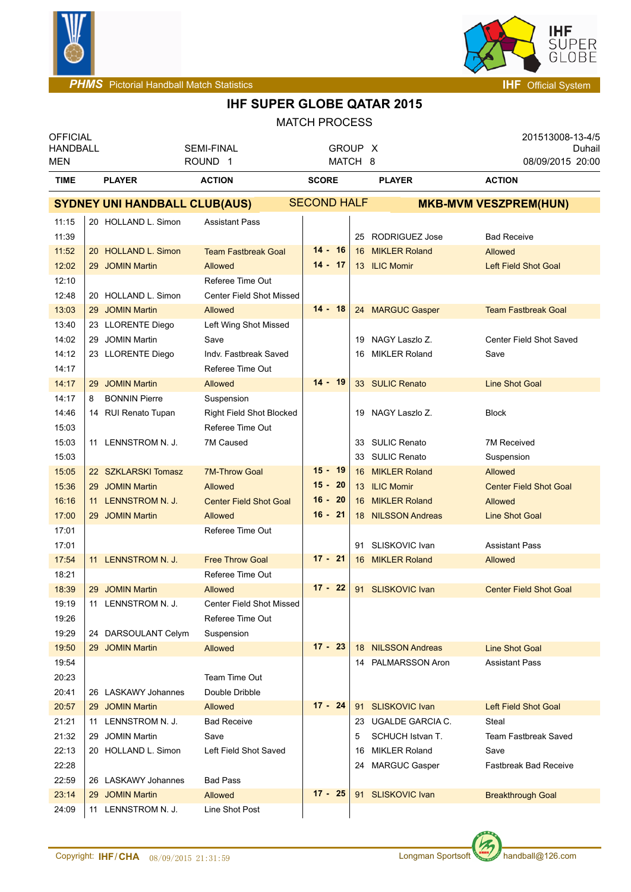



| <b>OFFICIAL</b><br><b>HANDBALL</b><br>MEN |                                      | <b>SEMI-FINAL</b><br>ROUND <sub>1</sub> |                    |    | GROUP X<br>MATCH 8   | 201513008-13-4/5<br>Duhail<br>08/09/2015 20:00 |
|-------------------------------------------|--------------------------------------|-----------------------------------------|--------------------|----|----------------------|------------------------------------------------|
| <b>TIME</b>                               | <b>PLAYER</b>                        | <b>ACTION</b>                           | <b>SCORE</b>       |    | <b>PLAYER</b>        | <b>ACTION</b>                                  |
|                                           | <b>SYDNEY UNI HANDBALL CLUB(AUS)</b> |                                         | <b>SECOND HALF</b> |    |                      | <b>MKB-MVM VESZPREM(HUN)</b>                   |
| 11:15                                     | 20 HOLLAND L. Simon                  | <b>Assistant Pass</b>                   |                    |    |                      |                                                |
| 11:39                                     |                                      |                                         |                    |    | 25 RODRIGUEZ Jose    | <b>Bad Receive</b>                             |
| 11:52                                     | 20 HOLLAND L. Simon                  | <b>Team Fastbreak Goal</b>              | $14 - 16$          |    | 16 MIKLER Roland     | <b>Allowed</b>                                 |
| 12:02                                     | 29 JOMIN Martin                      | Allowed                                 | $14 - 17$          |    | 13 ILIC Momir        | <b>Left Field Shot Goal</b>                    |
| 12:10                                     |                                      | Referee Time Out                        |                    |    |                      |                                                |
| 12:48                                     | 20 HOLLAND L. Simon                  | <b>Center Field Shot Missed</b>         |                    |    |                      |                                                |
| 13:03                                     | 29 JOMIN Martin                      | <b>Allowed</b>                          | $14 - 18$          |    | 24 MARGUC Gasper     | <b>Team Fastbreak Goal</b>                     |
| 13:40                                     | 23 LLORENTE Diego                    | Left Wing Shot Missed                   |                    |    |                      |                                                |
| 14:02                                     | 29 JOMIN Martin                      | Save                                    |                    |    | 19 NAGY Laszlo Z.    | Center Field Shot Saved                        |
| 14:12                                     | 23 LLORENTE Diego                    | Indy. Fastbreak Saved                   |                    |    | 16 MIKLER Roland     | Save                                           |
| 14:17                                     |                                      | Referee Time Out                        |                    |    |                      |                                                |
| 14:17                                     | 29 JOMIN Martin                      | Allowed                                 | $14 - 19$          |    | 33 SULIC Renato      | <b>Line Shot Goal</b>                          |
| 14:17                                     | <b>BONNIN Pierre</b><br>8            | Suspension                              |                    |    |                      |                                                |
| 14:46                                     | 14 RUI Renato Tupan                  | Right Field Shot Blocked                |                    |    | 19 NAGY Laszlo Z.    | <b>Block</b>                                   |
| 15:03                                     |                                      | Referee Time Out                        |                    |    |                      |                                                |
| 15:03                                     | 11 LENNSTROM N. J.                   | 7M Caused                               |                    |    | 33 SULIC Renato      | 7M Received                                    |
| 15:03                                     |                                      |                                         |                    |    | 33 SULIC Renato      | Suspension                                     |
| 15:05                                     | 22 SZKLARSKI Tomasz                  | <b>7M-Throw Goal</b>                    | $15 - 19$          |    | 16 MIKLER Roland     | <b>Allowed</b>                                 |
| 15:36                                     | 29 JOMIN Martin                      | <b>Allowed</b>                          | $15 - 20$          |    | 13 ILIC Momir        | <b>Center Field Shot Goal</b>                  |
| 16:16                                     | 11 LENNSTROM N. J.                   | <b>Center Field Shot Goal</b>           | $16 - 20$          |    | 16 MIKLER Roland     | <b>Allowed</b>                                 |
| 17:00                                     | 29 JOMIN Martin                      | Allowed                                 | $16 - 21$          |    | 18 NILSSON Andreas   | <b>Line Shot Goal</b>                          |
| 17:01                                     |                                      | Referee Time Out                        |                    |    |                      |                                                |
| 17:01                                     |                                      |                                         |                    |    | 91 SLISKOVIC Ivan    | Assistant Pass                                 |
| 17:54                                     | 11 LENNSTROM N. J.                   | <b>Free Throw Goal</b>                  | $17 - 21$          |    | 16 MIKLER Roland     | Allowed                                        |
| 18:21                                     |                                      | Referee Time Out                        |                    |    |                      |                                                |
| 18:39                                     | 29 JOMIN Martin                      | Allowed                                 | $17 - 22$          |    | 91 SLISKOVIC Ivan    | <b>Center Field Shot Goal</b>                  |
| 19:19                                     | 11 LENNSTROM N. J.                   | Center Field Shot Missed                |                    |    |                      |                                                |
| 19:26                                     |                                      | Referee Time Out                        |                    |    |                      |                                                |
| 19:29                                     | 24 DARSOULANT Celym                  | Suspension                              |                    |    |                      |                                                |
| 19:50                                     | 29 JOMIN Martin                      | Allowed                                 | $17 - 23$          |    | 18 NILSSON Andreas   | <b>Line Shot Goal</b>                          |
| 19:54                                     |                                      |                                         |                    |    | 14 PALMARSSON Aron   | <b>Assistant Pass</b>                          |
| 20:23                                     |                                      | Team Time Out                           |                    |    |                      |                                                |
| 20:41                                     | 26 LASKAWY Johannes                  | Double Dribble                          |                    |    |                      |                                                |
| 20:57                                     | 29 JOMIN Martin                      | Allowed                                 | $17 - 24$          |    | 91 SLISKOVIC Ivan    | <b>Left Field Shot Goal</b>                    |
| 21:21                                     | 11 LENNSTROM N. J.                   | <b>Bad Receive</b>                      |                    |    | 23 UGALDE GARCIA C.  | Steal                                          |
| 21:32                                     | 29 JOMIN Martin                      | Save                                    |                    | 5  | SCHUCH Istvan T.     | <b>Team Fastbreak Saved</b>                    |
| 22:13                                     | 20 HOLLAND L. Simon                  | Left Field Shot Saved                   |                    | 16 | <b>MIKLER Roland</b> | Save                                           |
| 22:28                                     |                                      |                                         |                    |    | 24 MARGUC Gasper     | <b>Fastbreak Bad Receive</b>                   |
| 22:59                                     | 26 LASKAWY Johannes                  | <b>Bad Pass</b>                         |                    |    |                      |                                                |
| 23:14                                     | 29 JOMIN Martin                      | Allowed                                 | $17 - 25$          |    | 91 SLISKOVIC Ivan    | <b>Breakthrough Goal</b>                       |
| 24:09                                     | 11 LENNSTROM N. J.                   | Line Shot Post                          |                    |    |                      |                                                |